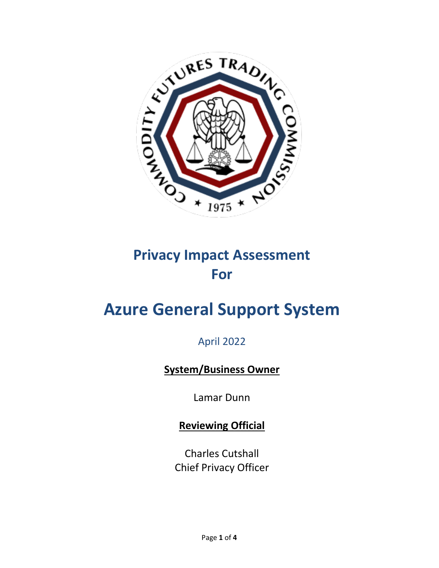

## **Privacy Impact Assessment For**

# **Azure General Support System**

April 2022

### **System/Business Owner**

Lamar Dunn

**Reviewing Official** 

Charles Cutshall Chief Privacy Officer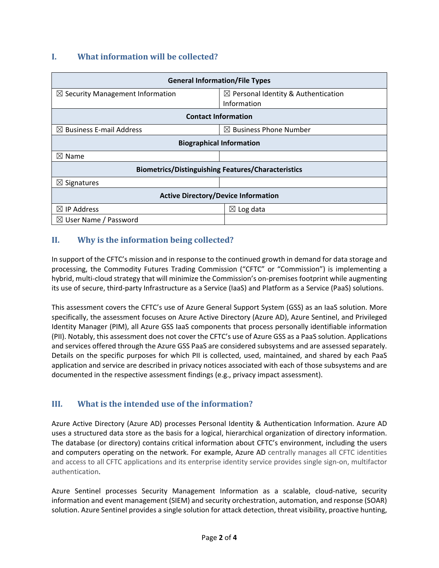#### **I. What information will be collected?**

| <b>General Information/File Types</b>                     |                                                |
|-----------------------------------------------------------|------------------------------------------------|
| $\boxtimes$ Security Management Information               | $\boxtimes$ Personal Identity & Authentication |
|                                                           | Information                                    |
| <b>Contact Information</b>                                |                                                |
| $\boxtimes$ Business E-mail Address                       | $\boxtimes$ Business Phone Number              |
| <b>Biographical Information</b>                           |                                                |
| $\boxtimes$ Name                                          |                                                |
| <b>Biometrics/Distinguishing Features/Characteristics</b> |                                                |
| $\boxtimes$ Signatures                                    |                                                |
| <b>Active Directory/Device Information</b>                |                                                |
| $\boxtimes$ IP Address                                    | $\boxtimes$ Log data                           |
| $\boxtimes$ User Name / Password                          |                                                |

#### **II. Why is the information being collected?**

In support of the CFTC's mission and in response to the continued growth in demand for data storage and processing, the Commodity Futures Trading Commission ("CFTC" or "Commission") is implementing a hybrid, multi-cloud strategy that will minimize the Commission's on-premises footprint while augmenting its use of secure, third-party Infrastructure as a Service (IaaS) and Platform as a Service (PaaS) solutions.

This assessment covers the CFTC's use of Azure General Support System (GSS) as an IaaS solution. More specifically, the assessment focuses on Azure Active Directory (Azure AD), Azure Sentinel, and Privileged Identity Manager (PIM), all Azure GSS IaaS components that process personally identifiable information (PII). Notably, this assessment does not cover the CFTC's use of Azure GSS as a PaaS solution. Applications and services offered through the Azure GSS PaaS are considered subsystems and are assessed separately. Details on the specific purposes for which PII is collected, used, maintained, and shared by each PaaS application and service are described in privacy notices associated with each of those subsystems and are documented in the respective assessment findings (e.g., privacy impact assessment).

#### **III. What is the intended use of the information?**

Azure Active Directory (Azure AD) processes Personal Identity & Authentication Information. Azure AD uses a structured data store as the basis for a logical, hierarchical organization of directory information. The database (or directory) contains critical information about CFTC's environment, including the users and computers operating on the network. For example, Azure AD centrally manages all CFTC identities and access to all CFTC applications and its enterprise identity service provides single sign-on, multifactor authentication.

Azure Sentinel processes Security Management Information as a scalable, cloud-native, security information and event management (SIEM) and security orchestration, automation, and response (SOAR) solution. Azure Sentinel provides a single solution for attack detection, threat visibility, proactive hunting,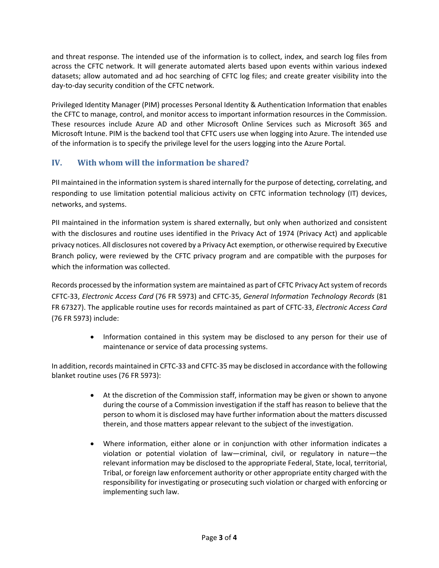and threat response. The intended use of the information is to collect, index, and search log files from across the CFTC network. It will generate automated alerts based upon events within various indexed datasets; allow automated and ad hoc searching of CFTC log files; and create greater visibility into the day-to-day security condition of the CFTC network.

Privileged Identity Manager (PIM) processes Personal Identity & Authentication Information that enables the CFTC to manage, control, and monitor access to important information resources in the Commission. These resources include Azure AD and other Microsoft Online Services such as Microsoft 365 and Microsoft Intune. PIM is the backend tool that CFTC users use when logging into Azure. The intended use of the information is to specify the privilege level for the users logging into the Azure Portal.

#### **IV. With whom will the information be shared?**

PII maintained in the information system is shared internally for the purpose of detecting, correlating, and responding to use limitation potential malicious activity on CFTC information technology (IT) devices, networks, and systems.

PII maintained in the information system is shared externally, but only when authorized and consistent with the disclosures and routine uses identified in the Privacy Act of 1974 (Privacy Act) and applicable privacy notices. All disclosures not covered by a Privacy Act exemption, or otherwise required by Executive Branch policy, were reviewed by the CFTC privacy program and are compatible with the purposes for which the information was collected.

Records processed by the information system are maintained as part of CFTC Privacy Act system of records CFTC-33, *Electronic Access Card* (76 FR 5973) and CFTC-35, *General Information Technology Records* (81 FR 67327). The applicable routine uses for records maintained as part of CFTC-33, *Electronic Access Card* (76 FR 5973) include:

> • Information contained in this system may be disclosed to any person for their use of maintenance or service of data processing systems.

In addition, records maintained in CFTC-33 and CFTC-35 may be disclosed in accordance with the following blanket routine uses (76 FR 5973):

- At the discretion of the Commission staff, information may be given or shown to anyone during the course of a Commission investigation if the staff has reason to believe that the person to whom it is disclosed may have further information about the matters discussed therein, and those matters appear relevant to the subject of the investigation.
- Where information, either alone or in conjunction with other information indicates a violation or potential violation of law—criminal, civil, or regulatory in nature—the relevant information may be disclosed to the appropriate Federal, State, local, territorial, Tribal, or foreign law enforcement authority or other appropriate entity charged with the responsibility for investigating or prosecuting such violation or charged with enforcing or implementing such law.